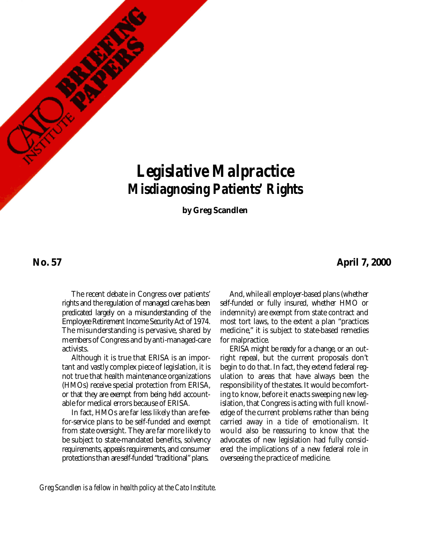# *Legislative Malpractice Misdiagnosing Patients' Rights*

**by Greg Scandlen**

#### **No. 57**

#### **April 7, 2000**

The recent debate in Congress over patients' rights and the regulation of managed care has been predicated largely on a misunderstanding of the Employee Retirement Income Security Act of 1974. The misunderstanding is pervasive, shared by members of Congress and by anti-managed-care activists.

Although it is true that ERISA is an important and vastly complex piece of legislation, it is not true that health maintenance organizations (HMOs) receive special protection from ERISA, or that they are exempt from being held accountable for medical errors because of ERISA.

In fact, HMOs are far less likely than are feefor-service plans to be self-funded and exempt from state oversight. They are far more likely to be subject to state-mandated benefits, solvency requirements, appeals requirements, and consumer protections than are self-funded "traditional" plans.

And, while all employer-based plans (whether self-funded or fully insured, whether HMO or indemnity) are exempt from state contract and most tort laws, to the extent a plan "practices medicine," it is subject to state-based remedies for malpractice.

ERISA might be ready for a change, or an outright repeal, but the current proposals don't begin to do that. In fact, they extend federal regulation to areas that have always been the responsibility of the states. It would be comforting to know, before it enacts sweeping new legislation, that Congress is acting with full knowledge of the current problems rather than being carried away in a tide of emotionalism. It would also be reassuring to know that the advocates of new legislation had fully considered the implications of a new federal role in overseeing the practice of medicine.

*Greg Scandlen is a fellow in health policy at the Cato Institute.*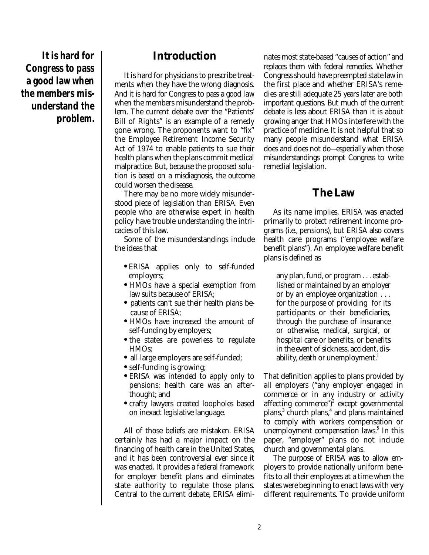**It is hard for Congress to pass a good law when the members misunderstand the problem.**

## **Introduction**

It is hard for physicians to prescribe treatments when they have the wrong diagnosis. And it is hard for Congress to pass a good law when the members misunderstand the problem. The current debate over the "Patients' Bill of Rights" is an example of a remedy gone wrong. The proponents want to "fix" the Employee Retirement Income Security Act of 1974 to enable patients to sue their health plans when the plans commit medical malpractice. But, because the proposed solution is based on a misdiagnosis, the outcome could worsen the disease.

There may be no more widely misunderstood piece of legislation than ERISA. Even people who are otherwise expert in health policy have trouble understanding the intricacies of this law.

Some of the misunderstandings include the ideas that

- **•** ERISA applies only to self-funded employers;
- **•** HMOs have a special exemption from law suits because of ERISA;
- patients can't sue their health plans because of ERISA;
- **•** HMOs have increased the amount of self-funding by employers;
- **•** the states are powerless to regulate HMOs;
- all large employers are self-funded;
- **•** self-funding is growing;
- **•** ERISA was intended to apply only to pensions; health care was an afterthought; and
- **•** crafty lawyers created loopholes based on inexact legislative language.

All of those beliefs are mistaken. ERISA certainly has had a major impact on the financing of health care in the United States, and it has been controversial ever since it was enacted. It provides a federal framework for employer benefit plans and eliminates state authority to regulate those plans. Central to the current debate, ERISA eliminates most state-based "causes of action" and replaces them with federal remedies. Whether Congress should have preempted state law in the first place and whether ERISA's remedies are still adequate 25 years later are both important questions. But much of the current debate is less about ERISA than it is about growing anger that HMOs interfere with the practice of medicine. It is not helpful that so many people misunderstand what ERISA does and does not do—especially when those misunderstandings prompt Congress to write remedial legislation.

# **The Law**

As its name implies, ERISA was enacted primarily to protect retirement income programs (i.e., pensions), but ERISA also covers health care programs ("employee welfare benefit plans"). An employee welfare benefit plans is defined as

any plan, fund, or program . . . established or maintained by an employer or by an employee organization . . . for the purpose of providing for its participants or their beneficiaries, through the purchase of insurance or otherwise, medical, surgical, or hospital care or benefits, or benefits in the event of sickness, accident, disability, death or unemployment. 1

That definition applies to plans provided by all employers ("any employer engaged in commerce or in any industry or activity affecting commerce") 2 except governmental plans, 3 church plans, 4 and plans maintained to comply with workers compensation or unemployment compensation laws. 5 In this paper, "employer" plans do not include church and governmental plans.

The purpose of ERISA was to allow employers to provide nationally uniform benefits to all their employees at a time when the states were beginning to enact laws with very different requirements. To provide uniform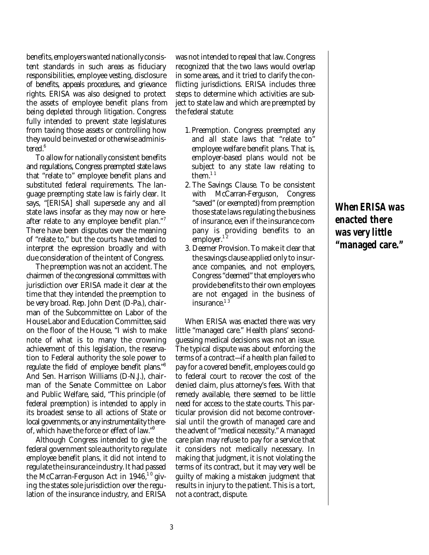benefits, employers wanted nationally consistent standards in such areas as fiduciary responsibilities, employee vesting, disclosure of benefits, appeals procedures, and grievance rights. ERISA was also designed to protect the assets of employee benefit plans from being depleted through litigation. Congress fully intended to prevent state legislatures from taxing those assets or controlling how they would be invested or otherwise administered. 6

To allow for nationally consistent benefits and regulations, Congress preempted state laws that "relate to" employee benefit plans and substituted federal requirements. The language preempting state law is fairly clear. It says, "[ERISA] shall supersede any and all state laws insofar as they may now or hereafter relate to any employee benefit plan."<sup>7</sup> There have been disputes over the meaning of "relate to," but the courts have tended to interpret the expression broadly and with due consideration of the intent of Congress.

The preemption was not an accident. The chairmen of the congressional committees with jurisdiction over ERISA made it clear at the time that they intended the preemption to be very broad. Rep. John Dent (D-Pa.), chairman of the Subcommittee on Labor of the House Labor and Education Committee, said on the floor of the House, "I wish to make note of what is to many the crowning achievement of this legislation, the reservation to Federal authority the sole power to regulate the field of employee benefit plans."<sup>8</sup> And Sen. Harrison Williams (D-N.J.), chairman of the Senate Committee on Labor and Public Welfare, said, "This principle (of federal preemption) is intended to apply in its broadest sense to all actions of State or local governments, or any instrumentality thereof, which have the force or effect of law."<sup>9</sup>

Although Congress intended to give the federal government sole authority to regulate employee benefit plans, it did not intend to regulate the insurance industry. It had passed the McCarran-Ferguson Act in 1946,<sup>10</sup> giving the states sole jurisdiction over the regulation of the insurance industry, and ERISA was not intended to repeal that law. Congress recognized that the two laws would overlap in some areas, and it tried to clarify the conflicting jurisdictions. ERISA includes three steps to determine which activities are subject to state law and which are preempted by the federal statute:

- 1. Preemption. Congress preempted any and all state laws that "relate to" employee welfare benefit plans. That is, employer-based plans would not be subject to any state law relating to them. $11$
- 2. The Savings Clause. To be consistent with McCarran-Ferguson, Congress "saved" (or exempted) from preemption those state laws regulating the business of insurance, even if the insurance company is providing benefits to an employer.<sup>12</sup>
- 3. Deemer Provision. To make it clear that the savings clause applied only to insurance companies, and not employers, Congress "deemed" that employers who provide benefits to their own employees are not engaged in the business of insurance. 1 3

When ERISA was enacted there was very little "managed care." Health plans' secondguessing medical decisions was not an issue. The typical dispute was about enforcing the terms of a contract—if a health plan failed to pay for a covered benefit, employees could go to federal court to recover the cost of the denied claim, plus attorney's fees. With that remedy available, there seemed to be little need for access to the state courts. This particular provision did not become controversial until the growth of managed care and the advent of "medical necessity." A managed care plan may refuse to pay for a service that it considers not medically necessary. In making that judgment, it is not violating the terms of its contract, but it may very well be guilty of making a mistaken judgment that results in injury to the patient. This is a tort, not a contract, dispute.

**When ERISA was enacted there was very little "managed care."**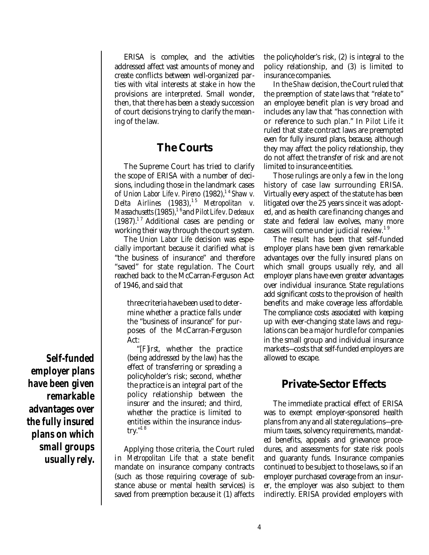ERISA is complex, and the activities addressed affect vast amounts of money and create conflicts between well-organized parties with vital interests at stake in how the provisions are interpreted. Small wonder, then, that there has been a steady succession of court decisions trying to clarify the meaning of the law.

# **The Courts**

The Supreme Court has tried to clarify the scope of ERISA with a number of decisions, including those in the landmark cases of *Union Labor Life v. Pireno* (1982), 1 4 *Shaw v. Delta Airlines* (1983), 1 5 *Metropolitan v. Massachusetts* (1985), 1 6and *Pilot Life v. Dedeaux* (1987). 1 7 Additional cases are pending or working their way through the court system.

The *Union Labor Life* decision was especially important because it clarified what is "the business of insurance" and therefore "saved" for state regulation. The Court reached back to the McCarran-Ferguson Act of 1946, and said that

three criteria have been used to determine whether a practice falls under the "business of insurance" for purposes of the McCarran-Ferguson Act:

"[*F*]*irst*, whether the practice (being addressed by the law) has the effect of transferring or spreading a policyholder's risk; second, whether the practice is an integral part of the policy relationship between the insurer and the insured; and third, whether the practice is limited to entities within the insurance industry." 1 8

Applying those criteria, the Court ruled in *Metropolitan Life* that a state benefit mandate on insurance company contracts (such as those requiring coverage of substance abuse or mental health services) is saved from preemption because it (1) affects

the policyholder's risk, (2) is integral to the policy relationship, and (3) is limited to insurance companies.

In the *Shaw* decision, the Court ruled that the preemption of state laws that "relate to" an employee benefit plan is very broad and includes any law that "has connection with or reference to such plan." In *Pilot Life* it ruled that state contract laws are preempted even for fully insured plans, because, although they may affect the policy relationship, they do not affect the transfer of risk and are not limited to insurance entities.

Those rulings are only a few in the long history of case law surrounding ERISA. Virtually every aspect of the statute has been litigated over the 25 years since it was adopted, and as health care financing changes and state and federal law evolves, many more cases will come under judicial review.<sup>19</sup>

The result has been that self-funded employer plans have been given remarkable advantages over the fully insured plans on which small groups usually rely, and all employer plans have even greater advantages over individual insurance. State regulations add significant costs to the provision of health benefits and make coverage less affordable. The compliance costs associated with keeping up with ever-changing state laws and regulations can be a major hurdle for companies in the small group and individual insurance markets—costs that self-funded employers are allowed to escape.

# **Private-Sector Effects**

The immediate practical effect of ERISA was to exempt employer-sponsored health plans from any and all state regulations—premium taxes, solvency requirements, mandated benefits, appeals and grievance procedures, and assessments for state risk pools and guaranty funds. Insurance companies continued to be subject to those laws, so if an employer purchased coverage from an insurer, the employer was also subject to them indirectly. ERISA provided employers with

**Self-funded employer plans have been given remarkable advantages over the fully insured plans on which small groups usually rely.**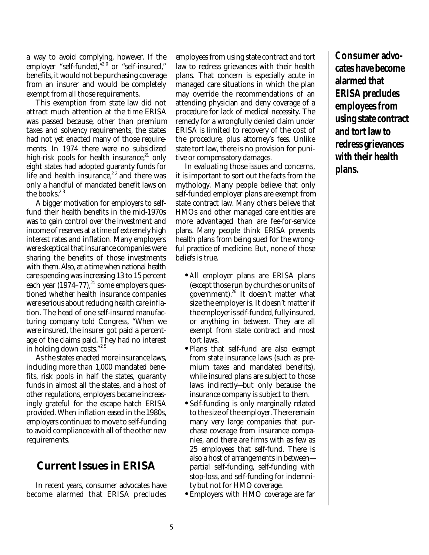a way to avoid complying, however. If the employer "self-funded,"<sup>20</sup> or "self-insured," benefits, it would not be purchasing coverage from an insurer and would be completely exempt from all those requirements.

This exemption from state law did not attract much attention at the time ERISA was passed because, other than premium taxes and solvency requirements, the states had not yet enacted many of those requirements. In 1974 there were no subsidized high-risk pools for health insurance,<sup>21</sup> only eight states had adopted guaranty funds for life and health insurance,<sup>22</sup> and there was only a handful of mandated benefit laws on the books. 2 3

A bigger motivation for employers to selffund their health benefits in the mid-1970s was to gain control over the investment and income of reserves at a time of extremely high interest rates and inflation. Many employers were skeptical that insurance companies were sharing the benefits of those investments with them. Also, at a time when national health care spending was increasing 13 to 15 percent each year (1974–77), $^\mathrm{24}$  some employers questioned whether health insurance companies were serious about reducing health care inflation. The head of one self-insured manufacturing company told Congress, "When we were insured, the insurer got paid a percentage of the claims paid. They had no interest in holding down costs." 2 5

As the states enacted more insurance laws, including more than 1,000 mandated benefits, risk pools in half the states, guaranty funds in almost all the states, and a host of other regulations, employers became increasingly grateful for the escape hatch ERISA provided. When inflation eased in the 1980s, employers continued to move to self-funding to avoid compliance with all of the other new requirements.

# **Current Issues in ERISA**

In recent years, consumer advocates have become alarmed that ERISA precludes

employees from using state contract and tort law to redress grievances with their health plans. That concern is especially acute in managed care situations in which the plan may override the recommendations of an attending physician and deny coverage of a procedure for lack of medical necessity. The remedy for a wrongfully denied claim under ERISA is limited to recovery of the cost of the procedure, plus attorney's fees. Unlike state tort law, there is no provision for punitive or compensatory damages.

In evaluating those issues and concerns, it is important to sort out the facts from the mythology. Many people believe that only self-funded employer plans are exempt from state contract law. Many others believe that HMOs and other managed care entities are more advantaged than are fee-for-service plans. Many people think ERISA prevents health plans from being sued for the wrongful practice of medicine. But, none of those beliefs is true.

- **•***All* employer plans are ERISA plans (except those run by churches or units of government). 26 It doesn't matter what size the employer is. It doesn't matter if the employer is self-funded, fully insured, or anything in between. They are all exempt from state contract and most tort laws.
- **•** Plans that self-fund are also exempt from state insurance laws (such as premium taxes and mandated benefits), while insured plans are subject to those laws indirectly—but only because the insurance company is subject to them.
- **•** Self-funding is only marginally related to the size of the employer. There remain many very large companies that purchase coverage from insurance companies, and there are firms with as few as 25 employees that self-fund. There is also a host of arrangements in between partial self-funding, self-funding with stop-loss, and self-funding for indemnity but not for HMO coverage.
- **•** Employers with HMO coverage are far

**Consumer advocates have become alarmed that ERISA precludes employees from using state contract and tort law to redress grievances with their health plans.**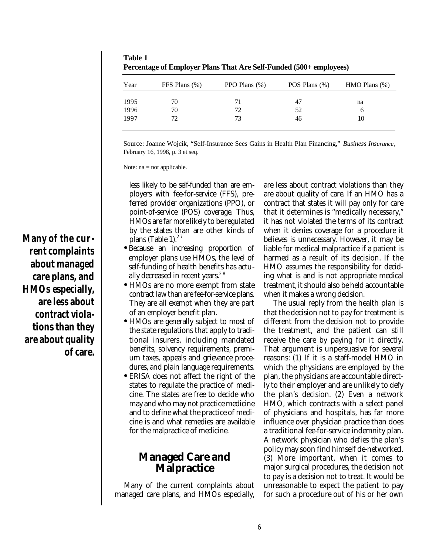| Year | FFS Plans (%) | PPO Plans $(\%)$ | POS Plans $(\%)$ | $HMO$ Plans $(\%)$ |
|------|---------------|------------------|------------------|--------------------|
| 1995 | 70            | 71               | 47               | na                 |
| 1996 | 70            | 72               | 52               | O                  |
| 1997 | 72            | 73               | 46               | 10                 |

**Table 1 Percentage of Employer Plans That Are Self-Funded (500+ employees)**

Source: Joanne Wojcik, "Self-Insurance Sees Gains in Health Plan Financing," *Business Insurance*, February 16, 1998, p. 3 et seq.

Note: na = not applicable.

less likely to be self-funded than are employers with fee-for-service (FFS), preferred provider organizations (PPO), or point-of-service (POS) coverage. Thus, HMOs are far *more*likely to be regulated by the states than are other kinds of plans (Table 1).<sup>27</sup>

- **•** Because an increasing proportion of employer plans use HMOs, the level of self-funding of health benefits has actually decreased in recent years.<sup>28</sup>
- **•** HMOs are no more exempt from state contract law than are fee-for-service plans. They are all exempt when they are part of an employer benefit plan.
- **•** HMOs are generally subject to most of the state regulations that apply to traditional insurers, including mandated benefits, solvency requirements, premium taxes, appeals and grievance procedures, and plain language requirements.
- **•** ERISA does not affect the right of the states to regulate the practice of medicine. The states are free to decide who may and who may not practice medicine and to define what the practice of medicine is and what remedies are available for the malpractice of medicine.

# **Managed Care and Malpractice**

Many of the current complaints about managed care plans, and HMOs especially,

are less about contract violations than they are about quality of care. If an HMO has a contract that states it will pay only for care that it determines is "medically necessary," it has not violated the terms of its contract when it denies coverage for a procedure it believes is unnecessary. However, it may be liable for medical malpractice if a patient is harmed as a result of its decision. If the HMO assumes the responsibility for deciding what is and is not appropriate medical treatment, it should also be held accountable when it makes a wrong decision.

The usual reply from the health plan is that the decision not to pay for treatment is different from the decision not to provide the treatment, and the patient can still receive the care by paying for it directly. That argument is unpersuasive for several reasons: (1) If it is a staff-model HMO in which the physicians are employed by the plan, the physicians are accountable directly to their employer and are unlikely to defy the plan's decision. (2) Even a network HMO, which contracts with a select panel of physicians and hospitals, has far more influence over physician practice than does a traditional fee-for-service indemnity plan. A network physician who defies the plan's policy may soon find himself de-networked. (3) More important, when it comes to major surgical procedures, the decision not to pay is a decision not to treat. It would be unreasonable to expect the patient to pay for such a procedure out of his or her own

**Many of the cur rent complaints about managed care plans, and HMOs especially, are less about contract violations than they are about quality of care.**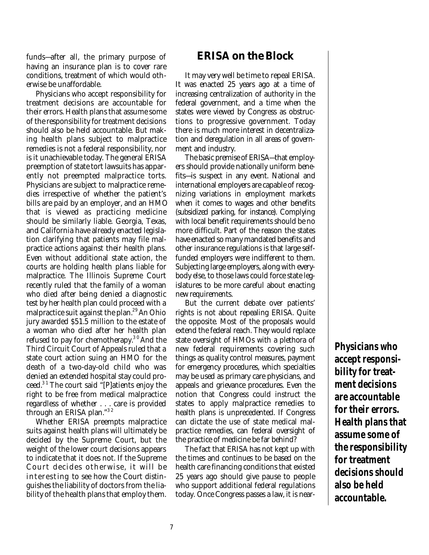funds—after all, the primary purpose of having an insurance plan is to cover rare conditions, treatment of which would otherwise be unaffordable.

Physicians who accept responsibility for treatment decisions are accountable for their errors. Health plans that assume some of the responsibility for treatment decisions should also be held accountable. But making health plans subject to malpractice remedies is not a federal responsibility, nor is it unachievable today. The general ERISA preemption of state tort lawsuits has apparently not preempted malpractice torts. Physicians are subject to malpractice remedies irrespective of whether the patient's bills are paid by an employer, and an HMO that is viewed as practicing medicine should be similarly liable. Georgia, Texas, and California have already enacted legislation clarifying that patients may file malpractice actions against their health plans. Even without additional state action, the courts are holding health plans liable for malpractice. The Illinois Supreme Court recently ruled that the family of a woman who died after being denied a diagnostic test by her health plan could proceed with a malpractice suit against the plan.<sup>29</sup> An Ohio jury awarded \$51.5 million to the estate of a woman who died after her health plan refused to pay for chemotherapy.<sup>30</sup> And the Third Circuit Court of Appeals ruled that a state court action suing an HMO for the death of a two-day-old child who was denied an extended hospital stay could proceed. 3 1 The court said "[P]atients enjoy the right to be free from medical malpractice regardless of whether . . . care is provided through an ERISA plan." 3 2

Whether ERISA preempts malpractice suits against health plans will ultimately be decided by the Supreme Court, but the weight of the lower court decisions appears to indicate that it does not. If the Supreme Court decides otherwise, it will be interesting to see how the Court distinguishes the liability of doctors from the liability of the health plans that employ them.

# **ERISA on the Block**

It may very well be time to repeal ERISA. It was enacted 25 years ago at a time of increasing centralization of authority in the federal government, and a time when the states were viewed by Congress as obstructions to progressive government. Today there is much more interest in decentralization and deregulation in all areas of government and industry.

The basic premise of ERISA—that employers should provide nationally uniform benefits—is suspect in any event. National and international employers are capable of recognizing variations in employment markets when it comes to wages and other benefits (subsidized parking, for instance). Complying with local benefit requirements should be no more difficult. Part of the reason the states have enacted so many mandated benefits and other insurance regulations is that large selffunded employers were indifferent to them. Subjecting large employers, along with everybody else, to those laws could force state legislatures to be more careful about enacting new requirements.

But the current debate over patients' rights is not about repealing ERISA. Quite the opposite. Most of the proposals would extend the federal reach. They would replace state oversight of HMOs with a plethora of new federal requirements covering such things as quality control measures, payment for emergency procedures, which specialties may be used as primary care physicians, and appeals and grievance procedures. Even the notion that Congress could instruct the states to apply malpractice remedies to health plans is unprecedented. If Congress can dictate the use of state medical malpractice remedies, can federal oversight of the practice of medicine be far behind?

The fact that ERISA has not kept up with the times and continues to be based on the health care financing conditions that existed 25 years ago should give pause to people who support additional federal regulations today. Once Congress passes a law, it is near**Physicians who accept responsibility for treatment decisions are accountable for their errors. Health plans that assume some of the responsibility for treatment decisions should also be held accountable.**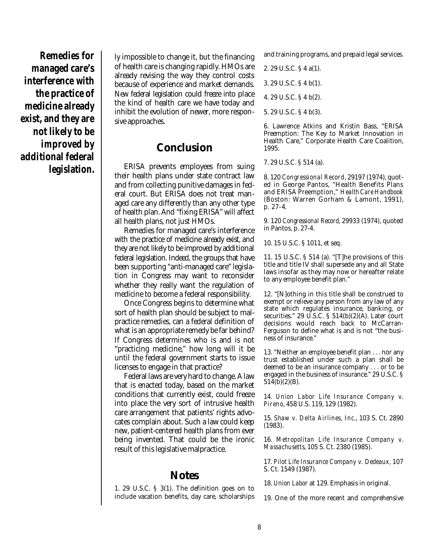**Remedies for managed care's interference with the practice of medicine already exist, and they are not likely to be improved by additional federal legislation.**

ly impossible to change it, but the financing of health care is changing rapidly. HMOs are already revising the way they control costs because of experience and market demands. New federal legislation could freeze into place the kind of health care we have today and inhibit the evolution of newer, more responsive approaches.

## **Conclusion**

ERISA prevents employees from suing their health plans under state contract law and from collecting punitive damages in federal court. But ERISA does not treat managed care any differently than any other type of health plan. And "fixing ERISA" will affect all health plans, not just HMOs.

Remedies for managed care's interference with the practice of medicine already exist, and they are not likely to be improved by additional federal legislation. Indeed, the groups that have been supporting "anti-managed care" legislation in Congress may want to reconsider whether they really want the regulation of medicine to become a federal responsibility.

Once Congress begins to determine what sort of health plan should be subject to malpractice remedies, can a federal definition of what is an appropriate remedy be far behind? If Congress determines who is and is not "practicing medicine," how long will it be until the federal government starts to issue licenses to engage in that practice?

Federal laws are very hard to change. A law that is enacted today, based on the market conditions that currently exist, could freeze into place the very sort of intrusive health care arrangement that patients' rights advocates complain about. Such a law could keep new, patient-centered health plans from ever being invented. That could be the ironic result of this legislative malpractice.

# **Notes**

1. 29 U.S.C. § 3(1). The definition goes on to include vacation benefits, day care, scholarships

and training programs, and prepaid legal services.

2. 29 U.S.C. § 4 a(1).

3. 29 U.S.C. § 4 b(1).

4. 29 U.S.C. § 4 b(2).

5. 29 U.S.C. § 4 b(3).

6. Lawrence Atkins and Kristin Bass, "ERISA Preemption: The Key to Market Innovation in Health Care," Corporate Health Care Coalition, 1995.

7. 29 U.S.C. § 514 (a).

8. 120 *Congressional Record*, 29197 (1974), quoted in George Pantos, "Health Benefits Plans and ERISA Preemption," *Health Care Handbook* (Boston: Warren Gorham & Lamont, 1991), p. 27-4.

9. 120 *Congressional Record*, 29933 (1974), quoted in Pantos, p. 27-4.

10. 15 U.S.C. § 1011, et seq.

11. 15 U.S.C. § 514 (a). "[T]he provisions of this title and title IV shall supersede any and all State laws insofar as they may now or hereafter relate to any employee benefit plan."

12. "[N]othing in this title shall be construed to exempt or relieve any person from any law of any state which regulates insurance, banking, or securities." 29 U.S.C.  $\S$  514(b)(2)(A). Later court decisions would reach back to McCarran-Ferguson to define what is and is not "the business of insurance."

13. "Neither an employee benefit plan . . . nor any trust established under such a plan shall be deemed to be an insurance company . . . or to be engaged in the business of insurance." 29 U.S.C. § 514(b)(2)(B).

14. *Union Labor Life Insurance Company v. Pireno*, 458 U.S. 119, 129 (1982).

15. *Shaw v. Delta Airlines, Inc.*, 103 S. Ct. 2890 (1983).

16. *Metropolitan Life Insurance Company v. Massachusetts*, 105 S. Ct. 2380 (1985).

17. *Pilot Life Insurance Company v. Dedeaux,* 107 S. Ct. 1549 (1987).

18. *Union Labor* at 129. Emphasis in original.

19. One of the more recent and comprehensive